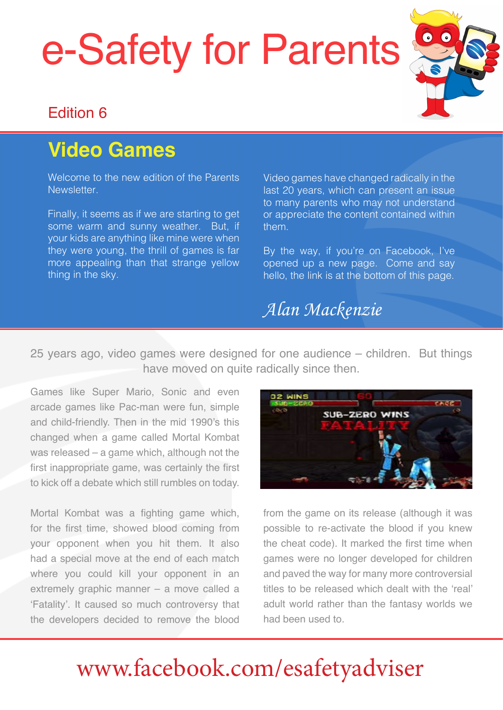# e-Safety for Parents



## Edition 6

# **Video Games**

Welcome to the new edition of the Parents Newsletter.

Finally, it seems as if we are starting to get some warm and sunny weather. But, if your kids are anything like mine were when they were young, the thrill of games is far more appealing than that strange yellow thing in the sky.

Video games have changed radically in the last 20 years, which can present an issue to many parents who may not understand or appreciate the content contained within them.

By the way, if you're on Facebook, I've opened up a new page. Come and say hello, the link is at the bottom of this page.

## *Alan Mackenzie*

25 years ago, video games were designed for one audience – children. But things have moved on quite radically since then.

Games like Super Mario, Sonic and even arcade games like Pac-man were fun, simple and child-friendly. Then in the mid 1990's this changed when a game called Mortal Kombat was released – a game which, although not the first inappropriate game, was certainly the first to kick off a debate which still rumbles on today.

Mortal Kombat was a fighting game which, for the first time, showed blood coming from your opponent when you hit them. It also had a special move at the end of each match where you could kill your opponent in an extremely graphic manner – a move called a 'Fatality'. It caused so much controversy that the developers decided to remove the blood



from the game on its release (although it was possible to re-activate the blood if you knew the cheat code). It marked the first time when games were no longer developed for children and paved the way for many more controversial titles to be released which dealt with the 'real' adult world rather than the fantasy worlds we had been used to.

# [www.facebook.com/esafetyadviser](https://www.facebook.com/esafetyadviser)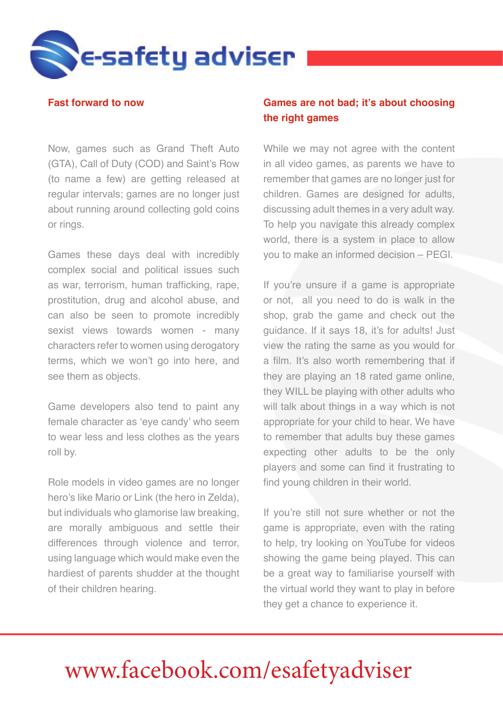

#### **Fast forward to now**

Now, games such as Grand Theft Auto (GTA), Call of Duty (COD) and Saint's Row (to name a few) are getting released at regular intervals; games are no longer just about running around collecting gold coins or rings.

Games these days deal with incredibly complex social and political issues such as war, terrorism, human trafficking, rape, prostitution, drug and alcohol abuse, and can also be seen to promote incredibly sexist views towards women - many characters refer to women using derogatory terms, which we won't go into here, and see them as objects.

Game developers also tend to paint any female character as 'eye candy' who seem to wear less and less clothes as the years roll by.

Role models in video games are no longer hero's like Mario or Link (the hero in Zelda), but individuals who glamorise law breaking, are morally ambiguous and settle their differences through violence and terror, using language which would make even the hardiest of parents shudder at the thought of their children hearing.

### **Games are not bad; it's about choosing the right games**

While we may not agree with the content in all video games, as parents we have to remember that games are no longer just for children. Games are designed for adults, discussing adult themes in a very adult way. To help you navigate this already complex world, there is a system in place to allow you to make an informed decision – PEGI.

If you're unsure if a game is appropriate or not, all you need to do is walk in the shop, grab the game and check out the guidance. If it says 18, it's for adults! Just view the rating the same as you would for a film. It's also worth remembering that if they are playing an 18 rated game online, they WILL be playing with other adults who will talk about things in a way which is not appropriate for your child to hear. We have to remember that adults buy these games expecting other adults to be the only players and some can find it frustrating to find young children in their world.

If you're still not sure whether or not the game is appropriate, even with the rating to help, try looking on YouTube for videos showing the game being played. This can be a great way to familiarise yourself with the virtual world they want to play in before they get a chance to experience it.

### **www.esafety-adviser.com** [www.facebook.com/esafetyadviser](https://www.facebook.com/esafetyadviser)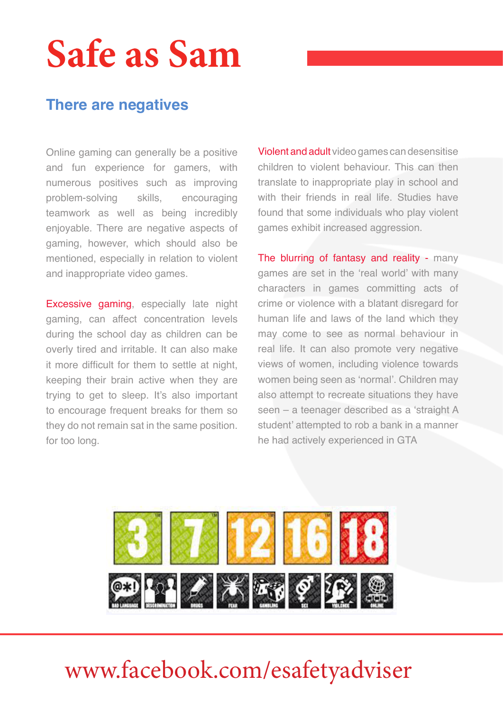# **Safe as Sam**

### **There are negatives**

Online gaming can generally be a positive and fun experience for gamers, with numerous positives such as improving problem-solving skills, encouraging teamwork as well as being incredibly enjoyable. There are negative aspects of gaming, however, which should also be mentioned, especially in relation to violent and inappropriate video games.

Excessive gaming, especially late night gaming, can affect concentration levels during the school day as children can be overly tired and irritable. It can also make it more difficult for them to settle at night, keeping their brain active when they are trying to get to sleep. It's also important to encourage frequent breaks for them so they do not remain sat in the same position. for too long.

Violent and adult video games can desensitise children to violent behaviour. This can then translate to inappropriate play in school and with their friends in real life. Studies have found that some individuals who play violent games exhibit increased aggression.

The blurring of fantasy and reality - many games are set in the 'real world' with many characters in games committing acts of crime or violence with a blatant disregard for human life and laws of the land which they may come to see as normal behaviour in real life. It can also promote very negative views of women, including violence towards women being seen as 'normal'. Children may also attempt to recreate situations they have seen – a teenager described as a 'straight A student' attempted to rob a bank in a manner he had actively experienced in GTA



### **www.esafety-adviser.com** [www.facebook.com/esafetyadviser](https://www.facebook.com/esafetyadviser)